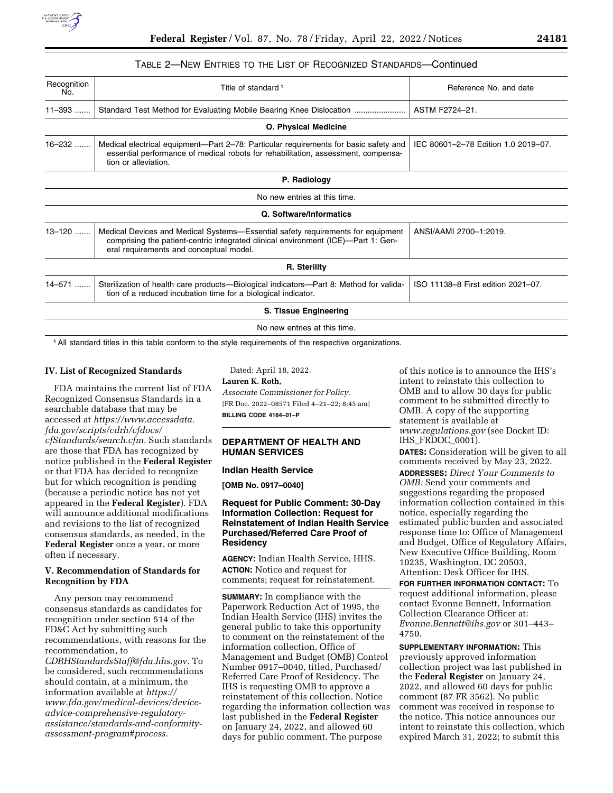

# TABLE 2—NEW ENTRIES TO THE LIST OF RECOGNIZED STANDARDS—Continued

| Recognition<br>No. | Title of standard <sup>1</sup>                                                                                                                                                                                                            | Reference No. and date              |  |  |
|--------------------|-------------------------------------------------------------------------------------------------------------------------------------------------------------------------------------------------------------------------------------------|-------------------------------------|--|--|
| $11 - 393$         | Standard Test Method for Evaluating Mobile Bearing Knee Dislocation                                                                                                                                                                       | ASTM F2724-21.                      |  |  |
|                    | <b>O. Physical Medicine</b>                                                                                                                                                                                                               |                                     |  |  |
| 16-232             | Medical electrical equipment—Part 2-78: Particular requirements for basic safety and<br>essential performance of medical robots for rehabilitation, assessment, compensa-<br>tion or alleviation.                                         | IEC 80601-2-78 Edition 1.0 2019-07. |  |  |
|                    | P. Radiology                                                                                                                                                                                                                              |                                     |  |  |
|                    | No new entries at this time.                                                                                                                                                                                                              |                                     |  |  |
|                    | Q. Software/Informatics                                                                                                                                                                                                                   |                                     |  |  |
| $13 - 120$         | Medical Devices and Medical Systems—Essential safety requirements for equipment<br>ANSI/AAMI 2700-1:2019.<br>comprising the patient-centric integrated clinical environment (ICE)—Part 1: Gen-<br>eral requirements and conceptual model. |                                     |  |  |
|                    | R. Sterility                                                                                                                                                                                                                              |                                     |  |  |
| 14-571             | Sterilization of health care products—Biological indicators—Part 8: Method for valida-<br>tion of a reduced incubation time for a biological indicator.                                                                                   | ISO 11138-8 First edition 2021-07.  |  |  |
|                    | S. Tissue Engineering                                                                                                                                                                                                                     |                                     |  |  |
|                    | No new entries at this time.                                                                                                                                                                                                              |                                     |  |  |

1All standard titles in this table conform to the style requirements of the respective organizations.

#### **IV. List of Recognized Standards**

FDA maintains the current list of FDA Recognized Consensus Standards in a searchable database that may be accessed at *[https://www.accessdata.](https://www.accessdata.fda.gov/scripts/cdrh/cfdocs/cfStandards/search.cfm) [fda.gov/scripts/cdrh/cfdocs/](https://www.accessdata.fda.gov/scripts/cdrh/cfdocs/cfStandards/search.cfm) [cfStandards/search.cfm.](https://www.accessdata.fda.gov/scripts/cdrh/cfdocs/cfStandards/search.cfm)* Such standards are those that FDA has recognized by notice published in the **Federal Register**  or that FDA has decided to recognize but for which recognition is pending (because a periodic notice has not yet appeared in the **Federal Register**). FDA will announce additional modifications and revisions to the list of recognized consensus standards, as needed, in the **Federal Register** once a year, or more often if necessary.

### **V. Recommendation of Standards for Recognition by FDA**

Any person may recommend consensus standards as candidates for recognition under section 514 of the FD&C Act by submitting such recommendations, with reasons for the recommendation, to *[CDRHStandardsStaff@fda.hhs.gov.](mailto:CDRHStandardsStaff@fda.hhs.gov)* To be considered, such recommendations should contain, at a minimum, the information available at *[https://](https://www.fda.gov/medical-devices/device-advice-comprehensive-regulatory-assistance/standards-and-conformity-assessment-program#process) [www.fda.gov/medical-devices/device](https://www.fda.gov/medical-devices/device-advice-comprehensive-regulatory-assistance/standards-and-conformity-assessment-program#process)[advice-comprehensive-regulatory](https://www.fda.gov/medical-devices/device-advice-comprehensive-regulatory-assistance/standards-and-conformity-assessment-program#process)[assistance/standards-and-conformity](https://www.fda.gov/medical-devices/device-advice-comprehensive-regulatory-assistance/standards-and-conformity-assessment-program#process)[assessment-program#process.](https://www.fda.gov/medical-devices/device-advice-comprehensive-regulatory-assistance/standards-and-conformity-assessment-program#process)* 

Dated: April 18, 2022.

**Lauren K. Roth,** 

*Associate Commissioner for Policy.*  [FR Doc. 2022–08571 Filed 4–21–22; 8:45 am] **BILLING CODE 4164–01–P** 

### **DEPARTMENT OF HEALTH AND HUMAN SERVICES**

#### **Indian Health Service**

**[OMB No. 0917–0040]** 

# **Request for Public Comment: 30-Day Information Collection: Request for Reinstatement of Indian Health Service Purchased/Referred Care Proof of Residency**

**AGENCY:** Indian Health Service, HHS. **ACTION:** Notice and request for comments; request for reinstatement.

**SUMMARY:** In compliance with the Paperwork Reduction Act of 1995, the Indian Health Service (IHS) invites the general public to take this opportunity to comment on the reinstatement of the information collection, Office of Management and Budget (OMB) Control Number 0917–0040, titled, Purchased/ Referred Care Proof of Residency. The IHS is requesting OMB to approve a reinstatement of this collection. Notice regarding the information collection was last published in the **Federal Register**  on January 24, 2022, and allowed 60 days for public comment. The purpose

of this notice is to announce the IHS's intent to reinstate this collection to OMB and to allow 30 days for public comment to be submitted directly to OMB. A copy of the supporting statement is available at *[www.regulations.gov](http://www.regulations.gov)* (see Docket ID: IHS\_FRDOC\_0001).

**DATES:** Consideration will be given to all comments received by May 23, 2022. **ADDRESSES:** *Direct Your Comments to OMB:* Send your comments and suggestions regarding the proposed information collection contained in this notice, especially regarding the estimated public burden and associated response time to: Office of Management and Budget, Office of Regulatory Affairs, New Executive Office Building, Room 10235, Washington, DC 20503, Attention: Desk Officer for IHS.

**FOR FURTHER INFORMATION CONTACT:** To request additional information, please contact Evonne Bennett, Information Collection Clearance Officer at: *[Evonne.Bennett@ihs.gov](mailto:Evonne.Bennett@ihs.gov)* or 301–443– 4750.

**SUPPLEMENTARY INFORMATION:** This previously approved information collection project was last published in the **Federal Register** on January 24, 2022, and allowed 60 days for public comment (87 FR 3562). No public comment was received in response to the notice. This notice announces our intent to reinstate this collection, which expired March 31, 2022; to submit this